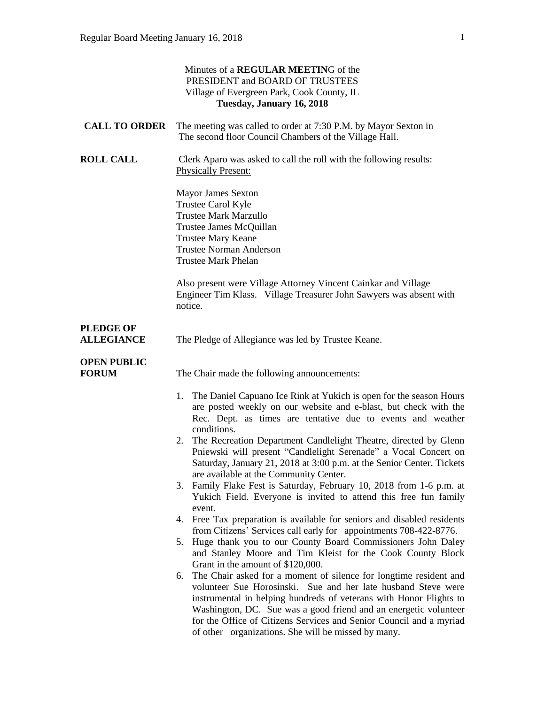|                                       | Minutes of a REGULAR MEETING of the<br>PRESIDENT and BOARD OF TRUSTEES<br>Village of Evergreen Park, Cook County, IL<br>Tuesday, January 16, 2018                                                                                                                                                                                                                                                                                                                                                                                                                                                                                                                                                                                                                                                                                                                                                                                                                                                                                                                                                                                                                                                                                                                                                                                                                                               |
|---------------------------------------|-------------------------------------------------------------------------------------------------------------------------------------------------------------------------------------------------------------------------------------------------------------------------------------------------------------------------------------------------------------------------------------------------------------------------------------------------------------------------------------------------------------------------------------------------------------------------------------------------------------------------------------------------------------------------------------------------------------------------------------------------------------------------------------------------------------------------------------------------------------------------------------------------------------------------------------------------------------------------------------------------------------------------------------------------------------------------------------------------------------------------------------------------------------------------------------------------------------------------------------------------------------------------------------------------------------------------------------------------------------------------------------------------|
| <b>CALL TO ORDER</b>                  | The meeting was called to order at 7:30 P.M. by Mayor Sexton in<br>The second floor Council Chambers of the Village Hall.                                                                                                                                                                                                                                                                                                                                                                                                                                                                                                                                                                                                                                                                                                                                                                                                                                                                                                                                                                                                                                                                                                                                                                                                                                                                       |
| <b>ROLL CALL</b>                      | Clerk Aparo was asked to call the roll with the following results:<br><b>Physically Present:</b>                                                                                                                                                                                                                                                                                                                                                                                                                                                                                                                                                                                                                                                                                                                                                                                                                                                                                                                                                                                                                                                                                                                                                                                                                                                                                                |
|                                       | <b>Mayor James Sexton</b><br>Trustee Carol Kyle<br><b>Trustee Mark Marzullo</b><br>Trustee James McQuillan<br><b>Trustee Mary Keane</b><br><b>Trustee Norman Anderson</b><br><b>Trustee Mark Phelan</b>                                                                                                                                                                                                                                                                                                                                                                                                                                                                                                                                                                                                                                                                                                                                                                                                                                                                                                                                                                                                                                                                                                                                                                                         |
|                                       | Also present were Village Attorney Vincent Cainkar and Village<br>Engineer Tim Klass. Village Treasurer John Sawyers was absent with<br>notice.                                                                                                                                                                                                                                                                                                                                                                                                                                                                                                                                                                                                                                                                                                                                                                                                                                                                                                                                                                                                                                                                                                                                                                                                                                                 |
| <b>PLEDGE OF</b><br><b>ALLEGIANCE</b> | The Pledge of Allegiance was led by Trustee Keane.                                                                                                                                                                                                                                                                                                                                                                                                                                                                                                                                                                                                                                                                                                                                                                                                                                                                                                                                                                                                                                                                                                                                                                                                                                                                                                                                              |
| <b>OPEN PUBLIC</b><br><b>FORUM</b>    | The Chair made the following announcements:                                                                                                                                                                                                                                                                                                                                                                                                                                                                                                                                                                                                                                                                                                                                                                                                                                                                                                                                                                                                                                                                                                                                                                                                                                                                                                                                                     |
|                                       | The Daniel Capuano Ice Rink at Yukich is open for the season Hours<br>1.<br>are posted weekly on our website and e-blast, but check with the<br>Rec. Dept. as times are tentative due to events and weather<br>conditions.<br>2. The Recreation Department Candlelight Theatre, directed by Glenn<br>Pniewski will present "Candlelight Serenade" a Vocal Concert on<br>Saturday, January 21, 2018 at 3:00 p.m. at the Senior Center. Tickets<br>are available at the Community Center.<br>Family Flake Fest is Saturday, February 10, 2018 from 1-6 p.m. at<br>3.<br>Yukich Field. Everyone is invited to attend this free fun family<br>event.<br>Free Tax preparation is available for seniors and disabled residents<br>4.<br>from Citizens' Services call early for appointments 708-422-8776.<br>Huge thank you to our County Board Commissioners John Daley<br>5.<br>and Stanley Moore and Tim Kleist for the Cook County Block<br>Grant in the amount of \$120,000.<br>The Chair asked for a moment of silence for longtime resident and<br>6.<br>volunteer Sue Horosinski. Sue and her late husband Steve were<br>instrumental in helping hundreds of veterans with Honor Flights to<br>Washington, DC. Sue was a good friend and an energetic volunteer<br>for the Office of Citizens Services and Senior Council and a myriad<br>of other organizations. She will be missed by many. |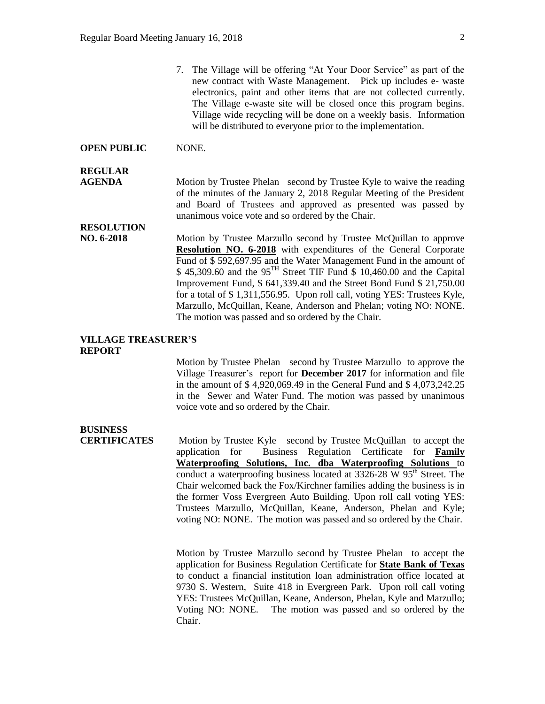7. The Village will be offering "At Your Door Service" as part of the new contract with Waste Management. Pick up includes e- waste electronics, paint and other items that are not collected currently. The Village e-waste site will be closed once this program begins. Village wide recycling will be done on a weekly basis. Information will be distributed to everyone prior to the implementation.

#### **OPEN PUBLIC** NONE.

#### **REGULAR**

**AGENDA** Motion by Trustee Phelan second by Trustee Kyle to waive the reading of the minutes of the January 2, 2018 Regular Meeting of the President and Board of Trustees and approved as presented was passed by unanimous voice vote and so ordered by the Chair.

## **RESOLUTION**

**NO. 6-2018** Motion by Trustee Marzullo second by Trustee McQuillan to approve **Resolution NO. 6-2018** with expenditures of the General Corporate Fund of \$ 592,697.95 and the Water Management Fund in the amount of  $$ 45,309.60$  and the  $95<sup>TH</sup>$  Street TIF Fund  $$ 10,460.00$  and the Capital Improvement Fund, \$ 641,339.40 and the Street Bond Fund \$ 21,750.00 for a total of \$ 1,311,556.95. Upon roll call, voting YES: Trustees Kyle, Marzullo, McQuillan, Keane, Anderson and Phelan; voting NO: NONE. The motion was passed and so ordered by the Chair.

#### **VILLAGE TREASURER'S REPORT**

Motion by Trustee Phelan second by Trustee Marzullo to approve the Village Treasurer's report for **December 2017** for information and file in the amount of \$ 4,920,069.49 in the General Fund and \$ 4,073,242.25 in the Sewer and Water Fund. The motion was passed by unanimous voice vote and so ordered by the Chair.

# **BUSINESS**

**CERTIFICATES** Motion by Trustee Kyle second by Trustee McQuillan to accept the application for Business Regulation Certificate for **Family Waterproofing Solutions, Inc. dba Waterproofing Solutions** to conduct a waterproofing business located at  $3326-28$  W  $95<sup>th</sup>$  Street. The Chair welcomed back the Fox/Kirchner families adding the business is in the former Voss Evergreen Auto Building. Upon roll call voting YES: Trustees Marzullo, McQuillan, Keane, Anderson, Phelan and Kyle; voting NO: NONE. The motion was passed and so ordered by the Chair.

> Motion by Trustee Marzullo second by Trustee Phelan to accept the application for Business Regulation Certificate for **State Bank of Texas** to conduct a financial institution loan administration office located at 9730 S. Western, Suite 418 in Evergreen Park. Upon roll call voting YES: Trustees McQuillan, Keane, Anderson, Phelan, Kyle and Marzullo; Voting NO: NONE. The motion was passed and so ordered by the Chair.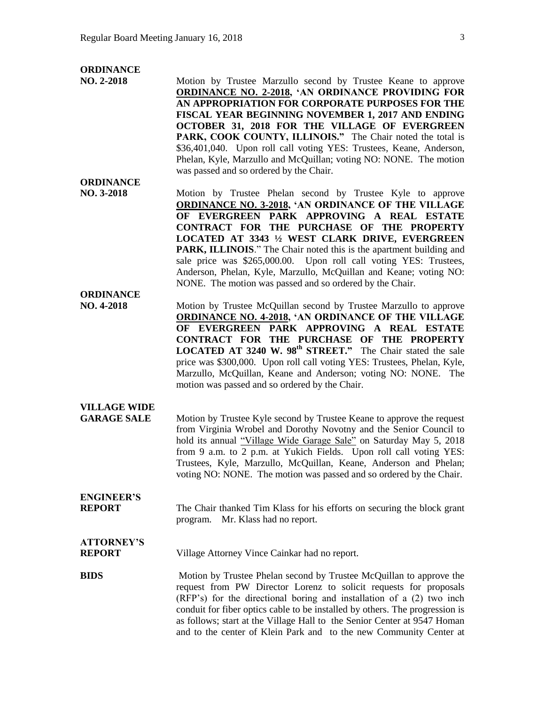#### **ORDINANCE**

**ORDINANCE**

**ORDINANCE**

- **NO. 2-2018** Motion by Trustee Marzullo second by Trustee Keane to approve **ORDINANCE NO. 2-2018, 'AN ORDINANCE PROVIDING FOR AN APPROPRIATION FOR CORPORATE PURPOSES FOR THE FISCAL YEAR BEGINNING NOVEMBER 1, 2017 AND ENDING OCTOBER 31, 2018 FOR THE VILLAGE OF EVERGREEN**  PARK, COOK COUNTY, ILLINOIS." The Chair noted the total is \$36,401,040. Upon roll call voting YES: Trustees, Keane, Anderson, Phelan, Kyle, Marzullo and McQuillan; voting NO: NONE. The motion was passed and so ordered by the Chair.
- **NO. 3-2018** Motion by Trustee Phelan second by Trustee Kyle to approve **ORDINANCE NO. 3-2018, 'AN ORDINANCE OF THE VILLAGE OF EVERGREEN PARK APPROVING A REAL ESTATE CONTRACT FOR THE PURCHASE OF THE PROPERTY LOCATED AT 3343 ½ WEST CLARK DRIVE, EVERGREEN PARK, ILLINOIS**." The Chair noted this is the apartment building and sale price was \$265,000.00. Upon roll call voting YES: Trustees, Anderson, Phelan, Kyle, Marzullo, McQuillan and Keane; voting NO: NONE. The motion was passed and so ordered by the Chair.
- **NO. 4-2018** Motion by Trustee McQuillan second by Trustee Marzullo to approve **ORDINANCE NO. 4-2018, 'AN ORDINANCE OF THE VILLAGE OF EVERGREEN PARK APPROVING A REAL ESTATE CONTRACT FOR THE PURCHASE OF THE PROPERTY LOCATED AT 3240 W. 98th STREET."** The Chair stated the sale price was \$300,000. Upon roll call voting YES: Trustees, Phelan, Kyle, Marzullo, McQuillan, Keane and Anderson; voting NO: NONE. The motion was passed and so ordered by the Chair.
- **VILLAGE WIDE**

**ENGINEER'S**

**GARAGE SALE** Motion by Trustee Kyle second by Trustee Keane to approve the request from Virginia Wrobel and Dorothy Novotny and the Senior Council to hold its annual "Village Wide Garage Sale" on Saturday May 5, 2018 from 9 a.m. to 2 p.m. at Yukich Fields. Upon roll call voting YES: Trustees, Kyle, Marzullo, McQuillan, Keane, Anderson and Phelan; voting NO: NONE. The motion was passed and so ordered by the Chair.

**REPORT** The Chair thanked Tim Klass for his efforts on securing the block grant program. Mr. Klass had no report.

### **ATTORNEY'S REPORT** Village Attorney Vince Cainkar had no report.

**BIDS** Motion by Trustee Phelan second by Trustee McQuillan to approve the request from PW Director Lorenz to solicit requests for proposals (RFP's) for the directional boring and installation of a (2) two inch conduit for fiber optics cable to be installed by others. The progression is as follows; start at the Village Hall to the Senior Center at 9547 Homan and to the center of Klein Park and to the new Community Center at